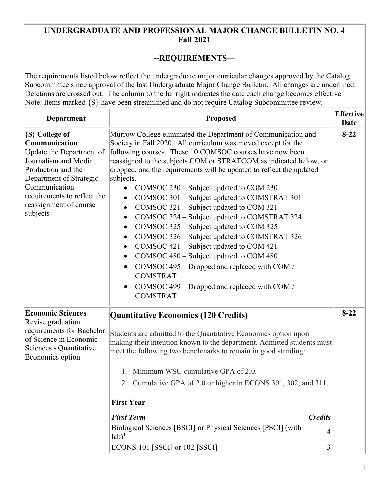## **UNDERGRADUATE AND PROFESSIONAL MAJOR CHANGE BULLETIN NO. 4 Fall 2021**

## **--REQUIREMENTS—**

The requirements listed below reflect the undergraduate major curricular changes approved by the Catalog Subcommittee since approval of the last Undergraduate Major Change Bulletin. All changes are underlined. Deletions are crossed out. The column to the far right indicates the date each change becomes effective. Note: Items marked  $\{S\}$  have been streamlined and do not require Catalog Subcommittee review.

| <b>Department</b>                                                                                                                                                                                                          | <b>Proposed</b>                                                                                                                                                                                                                                                                                                                                                                                                                                                                                                                                                                                                                                                                                                                                                                                                                                                                                                                                           | <b>Effective</b><br>Date |
|----------------------------------------------------------------------------------------------------------------------------------------------------------------------------------------------------------------------------|-----------------------------------------------------------------------------------------------------------------------------------------------------------------------------------------------------------------------------------------------------------------------------------------------------------------------------------------------------------------------------------------------------------------------------------------------------------------------------------------------------------------------------------------------------------------------------------------------------------------------------------------------------------------------------------------------------------------------------------------------------------------------------------------------------------------------------------------------------------------------------------------------------------------------------------------------------------|--------------------------|
| {S} College of<br>Communication<br>Update the Department of<br>Journalism and Media<br>Production and the<br>Department of Strategic<br>Communication<br>requirements to reflect the<br>reassignment of course<br>subjects | Murrow College eliminated the Department of Communication and<br>Society in Fall 2020. All curriculum was moved except for the<br>following courses. These 10 COMSOC courses have now been<br>reassigned to the subjects COM or STRATCOM as indicated below, or<br>dropped, and the requirements will be updated to reflect the updated<br>subjects.<br>COMSOC 230 – Subject updated to COM 230<br>$\bullet$<br>COMSOC 301 – Subject updated to COMSTRAT 301<br>٠<br>COMSOC 321 – Subject updated to COM 321<br>$\bullet$<br>COMSOC 324 - Subject updated to COMSTRAT 324<br>$\bullet$<br>COMSOC 325 – Subject updated to COM 325<br>٠<br>COMSOC 326 - Subject updated to COMSTRAT 326<br>$\bullet$<br>COMSOC 421 – Subject updated to COM 421<br>$\bullet$<br>COMSOC 480 – Subject updated to COM 480<br>$\bullet$<br>COMSOC 495 – Dropped and replaced with COM /<br><b>COMSTRAT</b><br>COMSOC 499 – Dropped and replaced with COM /<br><b>COMSTRAT</b> | $8-22$                   |
| <b>Economic Sciences</b><br>Revise graduation<br>requirements for Bachelor<br>of Science in Economic<br>Sciences - Quantitative<br>Economics option                                                                        | <b>Quantitative Economics (120 Credits)</b><br>Students are admitted to the Quantitative Economics option upon<br>making their intention known to the department. Admitted students must<br>meet the following two benchmarks to remain in good standing:<br>Minimum WSU cumulative GPA of 2.0.<br>Cumulative GPA of 2.0 or higher in ECONS 301, 302, and 311.<br>2.<br><b>First Year</b><br><b>First Term</b><br><b>Credits</b><br>Biological Sciences [BSCI] or Physical Sciences [PSCI] (with<br>$\overline{4}$<br>$lab)^1$<br>ECONS 101 [SSCI] or 102 [SSCI]<br>3                                                                                                                                                                                                                                                                                                                                                                                     | $8 - 22$                 |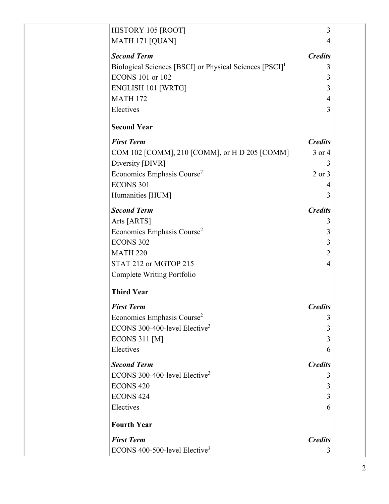| HISTORY 105 [ROOT]                                                  | 3              |  |
|---------------------------------------------------------------------|----------------|--|
| MATH 171 [QUAN]                                                     | 4              |  |
| <b>Second Term</b>                                                  | <b>Credits</b> |  |
| Biological Sciences [BSCI] or Physical Sciences [PSCI] <sup>1</sup> | 3              |  |
| <b>ECONS 101 or 102</b>                                             | 3              |  |
| <b>ENGLISH 101 [WRTG]</b>                                           | 3              |  |
| <b>MATH 172</b>                                                     | 4              |  |
| Electives                                                           | 3              |  |
| <b>Second Year</b>                                                  |                |  |
| <b>First Term</b>                                                   | <b>Credits</b> |  |
| COM 102 [COMM], 210 [COMM], or H D 205 [COMM]                       | 3 or 4         |  |
| Diversity [DIVR]                                                    | 3              |  |
| Economics Emphasis Course <sup>2</sup>                              | $2$ or $3$     |  |
| <b>ECONS 301</b>                                                    | 4              |  |
| Humanities [HUM]                                                    | 3              |  |
| <b>Second Term</b>                                                  | <b>Credits</b> |  |
| Arts [ARTS]                                                         | 3              |  |
| Economics Emphasis Course <sup>2</sup>                              | 3              |  |
| <b>ECONS 302</b>                                                    | 3              |  |
| <b>MATH 220</b>                                                     | $\overline{2}$ |  |
| STAT 212 or MGTOP 215                                               | 4              |  |
| Complete Writing Portfolio                                          |                |  |
| <b>Third Year</b>                                                   |                |  |
| <b>First Term</b>                                                   | <b>Credits</b> |  |
| Economics Emphasis Course <sup>2</sup>                              | 3              |  |
| ECONS 300-400-level Elective <sup>3</sup>                           | 3              |  |
| <b>ECONS 311 [M]</b>                                                | 3              |  |
| Electives                                                           | 6              |  |
| <b>Second Term</b>                                                  | <b>Credits</b> |  |
| ECONS 300-400-level Elective <sup>3</sup>                           | 3              |  |
| <b>ECONS 420</b>                                                    | 3              |  |
| <b>ECONS 424</b>                                                    | 3              |  |
| Electives                                                           | 6              |  |
| <b>Fourth Year</b>                                                  |                |  |
| <b>First Term</b>                                                   | <b>Credits</b> |  |
| ECONS 400-500-level Elective <sup>3</sup>                           | 3              |  |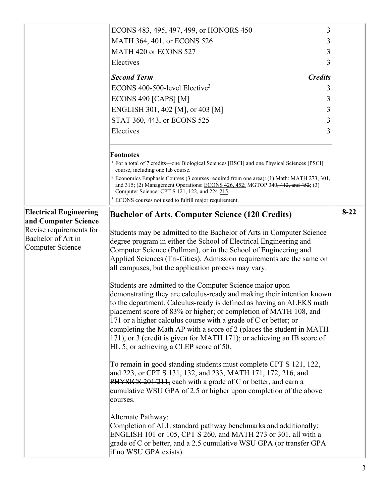|                                                       | 3<br>ECONS 483, 495, 497, 499, or HONORS 450                                                                                                                                                                                                                                    |        |
|-------------------------------------------------------|---------------------------------------------------------------------------------------------------------------------------------------------------------------------------------------------------------------------------------------------------------------------------------|--------|
|                                                       | MATH 364, 401, or ECONS 526<br>3                                                                                                                                                                                                                                                |        |
|                                                       | MATH 420 or ECONS 527<br>3                                                                                                                                                                                                                                                      |        |
|                                                       | Electives<br>3                                                                                                                                                                                                                                                                  |        |
|                                                       | <b>Second Term</b><br><b>Credits</b>                                                                                                                                                                                                                                            |        |
|                                                       | ECONS 400-500-level Elective <sup>3</sup><br>3                                                                                                                                                                                                                                  |        |
|                                                       | ECONS 490 [CAPS] [M]<br>3                                                                                                                                                                                                                                                       |        |
|                                                       | ENGLISH 301, 402 [M], or 403 [M]<br>3                                                                                                                                                                                                                                           |        |
|                                                       | STAT 360, 443, or ECONS 525<br>3                                                                                                                                                                                                                                                |        |
|                                                       | Electives<br>3                                                                                                                                                                                                                                                                  |        |
|                                                       | <b>Footnotes</b><br><sup>1</sup> For a total of 7 credits—one Biological Sciences [BSCI] and one Physical Sciences [PSCI]                                                                                                                                                       |        |
|                                                       | course, including one lab course.<br><sup>2</sup> Economics Emphasis Courses (3 courses required from one area): (1) Math: MATH 273, 301,<br>and 315; (2) Management Operations: ECONS 426, 452; MGTOP 340, 412, and 452; (3)<br>Computer Science: CPT S 121, 122, and 224 215. |        |
|                                                       | <sup>3</sup> ECONS courses not used to fulfill major requirement.                                                                                                                                                                                                               |        |
| <b>Electrical Engineering</b><br>and Computer Science | <b>Bachelor of Arts, Computer Science (120 Credits)</b>                                                                                                                                                                                                                         | $8-22$ |
| Revise requirements for                               | Students may be admitted to the Bachelor of Arts in Computer Science                                                                                                                                                                                                            |        |
| Bachelor of Art in                                    | degree program in either the School of Electrical Engineering and                                                                                                                                                                                                               |        |
| Computer Science                                      | Computer Science (Pullman), or in the School of Engineering and                                                                                                                                                                                                                 |        |
|                                                       | Applied Sciences (Tri-Cities). Admission requirements are the same on                                                                                                                                                                                                           |        |
|                                                       | all campuses, but the application process may vary.                                                                                                                                                                                                                             |        |
|                                                       | Students are admitted to the Computer Science major upon                                                                                                                                                                                                                        |        |
|                                                       | demonstrating they are calculus-ready and making their intention known                                                                                                                                                                                                          |        |
|                                                       | to the department. Calculus-ready is defined as having an ALEKS math                                                                                                                                                                                                            |        |
|                                                       | placement score of 83% or higher; or completion of MATH 108, and                                                                                                                                                                                                                |        |
|                                                       | 171 or a higher calculus course with a grade of C or better; or<br>completing the Math AP with a score of 2 (places the student in MATH                                                                                                                                         |        |
|                                                       | 171), or 3 (credit is given for MATH 171); or achieving an IB score of                                                                                                                                                                                                          |        |
|                                                       | HL 5; or achieving a CLEP score of 50.                                                                                                                                                                                                                                          |        |
|                                                       | To remain in good standing students must complete CPT S 121, 122,<br>and 223, or CPT S 131, 132, and 233, MATH 171, 172, 216, and<br>PHYSICS 201/211, each with a grade of C or better, and earn a<br>cumulative WSU GPA of 2.5 or higher upon completion of the above          |        |
|                                                       | courses.                                                                                                                                                                                                                                                                        |        |
|                                                       | Alternate Pathway:<br>Completion of ALL standard pathway benchmarks and additionally:<br>ENGLISH 101 or 105, CPT S 260, and MATH 273 or 301, all with a                                                                                                                         |        |
|                                                       | grade of C or better, and a 2.5 cumulative WSU GPA (or transfer GPA<br>if no WSU GPA exists).                                                                                                                                                                                   |        |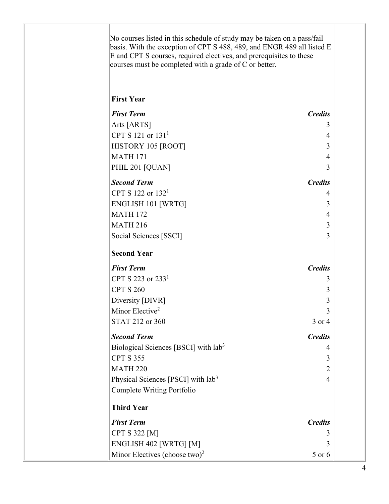No courses listed in this schedule of study may be taken on a pass/fail basis. With the exception of CPT S 488, 489, and ENGR 489 all listed E E and CPT S courses, required electives, and prerequisites to these courses must be completed with a grade of C or better.

## **First Year**

| <b>First Term</b>                                | <b>Credits</b> |
|--------------------------------------------------|----------------|
| Arts [ARTS]                                      | 3              |
| CPT S 121 or 131 <sup>1</sup>                    | $\overline{4}$ |
| HISTORY 105 [ROOT]                               | 3              |
| <b>MATH 171</b>                                  | $\overline{4}$ |
| PHIL 201 [QUAN]                                  | 3              |
| <b>Second Term</b>                               | <b>Credits</b> |
| CPT S 122 or 132 <sup>1</sup>                    | 4              |
| <b>ENGLISH 101 [WRTG]</b>                        | 3              |
| <b>MATH 172</b>                                  | 4              |
| <b>MATH 216</b>                                  | 3              |
| Social Sciences [SSCI]                           | 3              |
| <b>Second Year</b>                               |                |
| <b>First Term</b>                                | <b>Credits</b> |
| CPT S 223 or 233 <sup>1</sup>                    | 3              |
| <b>CPT S 260</b>                                 | 3              |
| Diversity [DIVR]                                 | 3              |
| Minor Elective <sup>2</sup>                      | 3              |
| STAT 212 or 360                                  | 3 or 4         |
| <b>Second Term</b>                               | <b>Credits</b> |
| Biological Sciences [BSCI] with lab <sup>3</sup> | 4              |
| <b>CPT S 355</b>                                 | 3              |
| <b>MATH 220</b>                                  | $\overline{2}$ |
| Physical Sciences [PSCI] with lab <sup>3</sup>   | $\overline{4}$ |
| Complete Writing Portfolio                       |                |
| <b>Third Year</b>                                |                |
| <b>First Term</b>                                | <b>Credits</b> |
| <b>CPT S 322 [M]</b>                             | 3              |
| ENGLISH 402 [WRTG] [M]                           | 3              |
| Minor Electives (choose two) <sup>2</sup>        | 5 or 6         |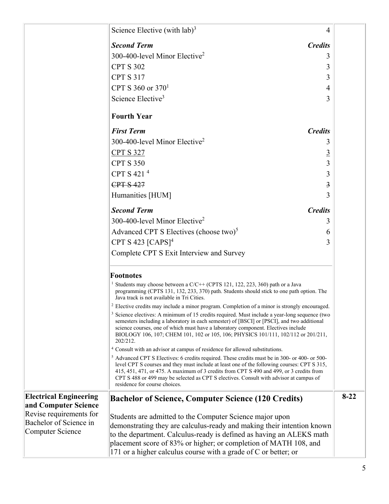|                                                       | Science Elective (with $\text{lab})^3$                                                                                                                                                                                                                                                                                                                                                                                        | 4                       |
|-------------------------------------------------------|-------------------------------------------------------------------------------------------------------------------------------------------------------------------------------------------------------------------------------------------------------------------------------------------------------------------------------------------------------------------------------------------------------------------------------|-------------------------|
|                                                       | <b>Second Term</b><br><b>Credits</b>                                                                                                                                                                                                                                                                                                                                                                                          |                         |
|                                                       | 300-400-level Minor Elective <sup>2</sup>                                                                                                                                                                                                                                                                                                                                                                                     | 3                       |
|                                                       | <b>CPT S 302</b>                                                                                                                                                                                                                                                                                                                                                                                                              | 3                       |
|                                                       | <b>CPT S 317</b>                                                                                                                                                                                                                                                                                                                                                                                                              | 3                       |
|                                                       | CPT S 360 or $370^1$                                                                                                                                                                                                                                                                                                                                                                                                          | 4                       |
|                                                       | Science Elective <sup>3</sup>                                                                                                                                                                                                                                                                                                                                                                                                 | 3                       |
|                                                       | <b>Fourth Year</b>                                                                                                                                                                                                                                                                                                                                                                                                            |                         |
|                                                       | <b>First Term</b><br><b>Credits</b>                                                                                                                                                                                                                                                                                                                                                                                           |                         |
|                                                       | 300-400-level Minor Elective <sup>2</sup>                                                                                                                                                                                                                                                                                                                                                                                     | 3                       |
|                                                       | <b>CPT S 327</b>                                                                                                                                                                                                                                                                                                                                                                                                              | <u>3</u>                |
|                                                       | <b>CPT S 350</b>                                                                                                                                                                                                                                                                                                                                                                                                              | 3                       |
|                                                       | CPT S 421 <sup>4</sup>                                                                                                                                                                                                                                                                                                                                                                                                        | 3                       |
|                                                       | <b>CPT S 427</b>                                                                                                                                                                                                                                                                                                                                                                                                              | $\overline{\mathbf{3}}$ |
|                                                       | Humanities [HUM]                                                                                                                                                                                                                                                                                                                                                                                                              | 3                       |
|                                                       | <b>Second Term</b><br><b>Credits</b>                                                                                                                                                                                                                                                                                                                                                                                          |                         |
|                                                       | 300-400-level Minor Elective <sup>2</sup>                                                                                                                                                                                                                                                                                                                                                                                     | 3                       |
|                                                       | Advanced CPT S Electives (choose two) <sup>5</sup>                                                                                                                                                                                                                                                                                                                                                                            | 6                       |
|                                                       | CPT S 423 $[CAPS]$ <sup>4</sup>                                                                                                                                                                                                                                                                                                                                                                                               | 3                       |
|                                                       | Complete CPT S Exit Interview and Survey                                                                                                                                                                                                                                                                                                                                                                                      |                         |
|                                                       | <b>Footnotes</b>                                                                                                                                                                                                                                                                                                                                                                                                              |                         |
|                                                       | <sup>1</sup> Students may choose between a C/C++ (CPTS 121, 122, 223, 360) path or a Java<br>programming (CPTS 131, 132, 233, 370) path. Students should stick to one path option. The<br>Java track is not available in Tri Cities.                                                                                                                                                                                          |                         |
|                                                       | <sup>2</sup> Elective credits may include a minor program. Completion of a minor is strongly encouraged.                                                                                                                                                                                                                                                                                                                      |                         |
|                                                       | <sup>3</sup> Science electives: A minimum of 15 credits required. Must include a year-long sequence (two<br>semesters including a laboratory in each semester) of [BSCI] or [PSCI], and two additional<br>science courses, one of which must have a laboratory component. Electives include<br>BIOLOGY 106, 107; CHEM 101, 102 or 105, 106; PHYSICS 101/111, 102/112 or 201/211,<br>202/212.                                  |                         |
|                                                       | <sup>4</sup> Consult with an advisor at campus of residence for allowed substitutions.                                                                                                                                                                                                                                                                                                                                        |                         |
|                                                       | <sup>5</sup> Advanced CPT S Electives: 6 credits required. These credits must be in 300- or 400- or 500-<br>level CPT S courses and they must include at least one of the following courses: CPT S 315,<br>415, 451, 471, or 475. A maximum of 3 credits from CPT S 490 and 499, or 3 credits from<br>CPT S 488 or 499 may be selected as CPT S electives. Consult with advisor at campus of<br>residence for course choices. |                         |
| <b>Electrical Engineering</b><br>and Computer Science | <b>Bachelor of Science, Computer Science (120 Credits)</b>                                                                                                                                                                                                                                                                                                                                                                    | $8-22$                  |
| Revise requirements for                               | Students are admitted to the Computer Science major upon                                                                                                                                                                                                                                                                                                                                                                      |                         |
| Bachelor of Science in                                | demonstrating they are calculus-ready and making their intention known                                                                                                                                                                                                                                                                                                                                                        |                         |
| <b>Computer Science</b>                               | to the department. Calculus-ready is defined as having an ALEKS math                                                                                                                                                                                                                                                                                                                                                          |                         |
|                                                       | placement score of 83% or higher; or completion of MATH 108, and<br>171 or a higher calculus course with a grade of C or better; or                                                                                                                                                                                                                                                                                           |                         |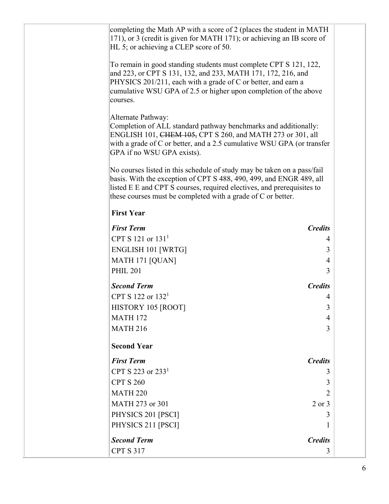| completing the Math AP with a score of 2 (places the student in MATH<br>171), or 3 (credit is given for MATH 171); or achieving an IB score of<br>HL 5; or achieving a CLEP score of 50.                                                                                                 |                          |
|------------------------------------------------------------------------------------------------------------------------------------------------------------------------------------------------------------------------------------------------------------------------------------------|--------------------------|
| To remain in good standing students must complete CPT S 121, 122,<br>and 223, or CPT S 131, 132, and 233, MATH 171, 172, 216, and<br>PHYSICS 201/211, each with a grade of C or better, and earn a<br>cumulative WSU GPA of 2.5 or higher upon completion of the above<br>courses.       |                          |
| Alternate Pathway:<br>Completion of ALL standard pathway benchmarks and additionally:<br>ENGLISH 101, CHEM 105, CPT S 260, and MATH 273 or 301, all<br>with a grade of C or better, and a 2.5 cumulative WSU GPA (or transfer<br>GPA if no WSU GPA exists).                              |                          |
| No courses listed in this schedule of study may be taken on a pass/fail<br>basis. With the exception of CPT S 488, 490, 499, and ENGR 489, all<br>listed E E and CPT S courses, required electives, and prerequisites to<br>these courses must be completed with a grade of C or better. |                          |
| <b>First Year</b>                                                                                                                                                                                                                                                                        |                          |
| <b>First Term</b>                                                                                                                                                                                                                                                                        | <b>Credits</b>           |
| CPT S 121 or $131^1$                                                                                                                                                                                                                                                                     | 4                        |
| ENGLISH 101 [WRTG]                                                                                                                                                                                                                                                                       | 3                        |
| MATH 171 [QUAN]                                                                                                                                                                                                                                                                          | 4                        |
| <b>PHIL 201</b>                                                                                                                                                                                                                                                                          | 3                        |
| <b>Second Term</b>                                                                                                                                                                                                                                                                       | <b>Credits</b>           |
| CPT S 122 or $132^1$                                                                                                                                                                                                                                                                     | 4                        |
| HISTORY 105 [ROOT]                                                                                                                                                                                                                                                                       | 3                        |
| <b>MATH 172</b>                                                                                                                                                                                                                                                                          | $\overline{\mathcal{A}}$ |
| <b>MATH 216</b>                                                                                                                                                                                                                                                                          | 3                        |
| <b>Second Year</b>                                                                                                                                                                                                                                                                       |                          |
| <b>First Term</b>                                                                                                                                                                                                                                                                        | <b>Credits</b>           |
| CPT S 223 or $2331$                                                                                                                                                                                                                                                                      | 3                        |
| <b>CPT S 260</b>                                                                                                                                                                                                                                                                         | 3                        |
| <b>MATH 220</b>                                                                                                                                                                                                                                                                          | 2                        |
| MATH 273 or 301                                                                                                                                                                                                                                                                          | $2$ or $3$               |
| PHYSICS 201 [PSCI]                                                                                                                                                                                                                                                                       | 3                        |
| PHYSICS 211 [PSCI]                                                                                                                                                                                                                                                                       |                          |
| <b>Second Term</b>                                                                                                                                                                                                                                                                       | <b>Credits</b>           |
| <b>CPT S 317</b>                                                                                                                                                                                                                                                                         | 3                        |
|                                                                                                                                                                                                                                                                                          |                          |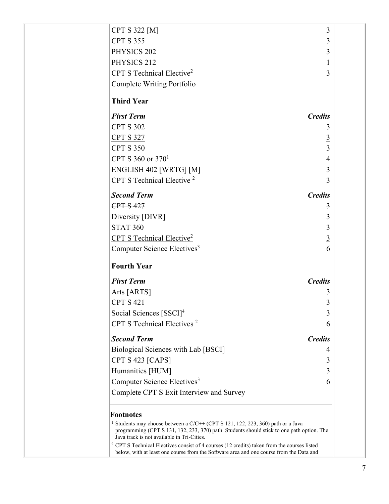| <b>CPT S 322 [M]</b>                                                                                                                                                                                                                   | 3               |
|----------------------------------------------------------------------------------------------------------------------------------------------------------------------------------------------------------------------------------------|-----------------|
| <b>CPT S 355</b>                                                                                                                                                                                                                       | 3               |
| PHYSICS 202                                                                                                                                                                                                                            | 3               |
| PHYSICS 212                                                                                                                                                                                                                            | $\mathbf{1}$    |
| CPT S Technical Elective <sup>2</sup>                                                                                                                                                                                                  | 3               |
| Complete Writing Portfolio                                                                                                                                                                                                             |                 |
| <b>Third Year</b>                                                                                                                                                                                                                      |                 |
| <b>First Term</b>                                                                                                                                                                                                                      | <b>Credits</b>  |
| <b>CPT S 302</b>                                                                                                                                                                                                                       | 3               |
| <b>CPT S 327</b>                                                                                                                                                                                                                       | $\overline{3}$  |
| <b>CPT S 350</b>                                                                                                                                                                                                                       | $\overline{3}$  |
| CPT S 360 or $370^1$                                                                                                                                                                                                                   | $\overline{4}$  |
| ENGLISH 402 [WRTG] [M]                                                                                                                                                                                                                 | 3               |
| CPT S Technical Elective <sup><math>2</math></sup>                                                                                                                                                                                     | $\overline{3}$  |
| <b>Second Term</b>                                                                                                                                                                                                                     | <b>Credits</b>  |
| <b>CPT S 427</b>                                                                                                                                                                                                                       | 3               |
| Diversity [DIVR]                                                                                                                                                                                                                       | 3               |
| <b>STAT 360</b>                                                                                                                                                                                                                        | 3               |
| CPT S Technical Elective <sup>2</sup>                                                                                                                                                                                                  | $\underline{3}$ |
| Computer Science Electives <sup>3</sup>                                                                                                                                                                                                | 6               |
| <b>Fourth Year</b>                                                                                                                                                                                                                     |                 |
| <b>First Term</b>                                                                                                                                                                                                                      | <b>Credits</b>  |
| Arts [ARTS]                                                                                                                                                                                                                            | 3               |
| <b>CPT S 421</b>                                                                                                                                                                                                                       | 3               |
| Social Sciences [SSCI] <sup>4</sup>                                                                                                                                                                                                    | 3               |
| CPT S Technical Electives <sup>2</sup>                                                                                                                                                                                                 | 6               |
| <b>Second Term</b>                                                                                                                                                                                                                     | <b>Credits</b>  |
| Biological Sciences with Lab [BSCI]                                                                                                                                                                                                    | 4               |
| CPT S 423 [CAPS]                                                                                                                                                                                                                       | 3               |
| Humanities [HUM]                                                                                                                                                                                                                       | 3               |
| Computer Science Electives <sup>3</sup>                                                                                                                                                                                                | 6               |
| Complete CPT S Exit Interview and Survey                                                                                                                                                                                               |                 |
| <b>Footnotes</b>                                                                                                                                                                                                                       |                 |
| <sup>1</sup> Students may choose between a C/C++ (CPT S 121, 122, 223, 360) path or a Java<br>programming (CPT S 131, 132, 233, 370) path. Students should stick to one path option. The<br>Java track is not available in Tri-Cities. |                 |
| <sup>2</sup> CPT S Technical Electives consist of 4 courses (12 credits) taken from the courses listed<br>below, with at least one course from the Software area and one course from the Data and                                      |                 |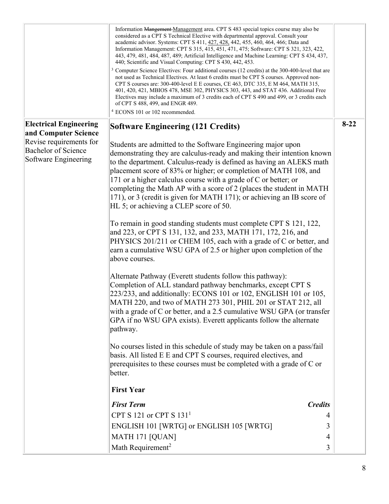|                                                                                                                                        | Information Mangement Management area. CPT S 483 special topics course may also be<br>considered as a CPT S Technical Elective with departmental approval. Consult your<br>academic advisor. Systems: CPT S 411, 427, 428, 442, 455, 460, 464, 466; Data and<br>Information Management: CPT S 315, 415, 451, 471, 475; Software: CPT S 321, 323, 422,<br>443, 479, 481, 484, 487, 489; Artificial Intelligence and Machine Learning: CPT S 434, 437,<br>440; Scientific and Visual Computing: CPT S 430, 442, 453.<br><sup>3</sup> Computer Science Electives: Four additional courses (12 credits) at the 300-400-level that are<br>not used as Technical Electives. At least 6 credits must be CPT S courses. Approved non-<br>CPT S courses are: 300-400-level E E courses, CE 463, DTC 335, E M 464, MATH 315,<br>401, 420, 421, MBIOS 478, MSE 302, PHYSICS 303, 443, and STAT 436. Additional Free<br>Electives may include a maximum of 3 credits each of CPT S 490 and 499, or 3 credits each<br>of CPT S 488, 499, and ENGR 489.<br><sup>4</sup> ECONS 101 or 102 recommended.                                                                                                                                                                                                                                                                                                                                                                                                                                                                                              |          |
|----------------------------------------------------------------------------------------------------------------------------------------|--------------------------------------------------------------------------------------------------------------------------------------------------------------------------------------------------------------------------------------------------------------------------------------------------------------------------------------------------------------------------------------------------------------------------------------------------------------------------------------------------------------------------------------------------------------------------------------------------------------------------------------------------------------------------------------------------------------------------------------------------------------------------------------------------------------------------------------------------------------------------------------------------------------------------------------------------------------------------------------------------------------------------------------------------------------------------------------------------------------------------------------------------------------------------------------------------------------------------------------------------------------------------------------------------------------------------------------------------------------------------------------------------------------------------------------------------------------------------------------------------------------------------------------------------------------------------------------|----------|
| <b>Electrical Engineering</b><br>and Computer Science<br>Revise requirements for<br><b>Bachelor of Science</b><br>Software Engineering | <b>Software Engineering (121 Credits)</b><br>Students are admitted to the Software Engineering major upon<br>demonstrating they are calculus-ready and making their intention known<br>to the department. Calculus-ready is defined as having an ALEKS math<br>placement score of 83% or higher; or completion of MATH 108, and<br>171 or a higher calculus course with a grade of C or better; or<br>completing the Math AP with a score of 2 (places the student in MATH<br>171), or 3 (credit is given for MATH 171); or achieving an IB score of<br>HL 5; or achieving a CLEP score of 50.<br>To remain in good standing students must complete CPT S 121, 122,<br>and 223, or CPT S 131, 132, and 233, MATH 171, 172, 216, and<br>PHYSICS 201/211 or CHEM 105, each with a grade of C or better, and<br>earn a cumulative WSU GPA of 2.5 or higher upon completion of the<br>above courses.<br>Alternate Pathway (Everett students follow this pathway):<br>Completion of ALL standard pathway benchmarks, except CPT S<br>223/233, and additionally: ECONS 101 or 102, ENGLISH 101 or 105,<br>MATH 220, and two of MATH 273 301, PHIL 201 or STAT 212, all<br>with a grade of C or better, and a 2.5 cumulative WSU GPA (or transfer<br>GPA if no WSU GPA exists). Everett applicants follow the alternate<br>pathway.<br>No courses listed in this schedule of study may be taken on a pass/fail<br>basis. All listed E E and CPT S courses, required electives, and<br>prerequisites to these courses must be completed with a grade of C or<br>better.<br><b>First Year</b> | $8 - 22$ |
|                                                                                                                                        | <b>First Term</b><br><b>Credits</b>                                                                                                                                                                                                                                                                                                                                                                                                                                                                                                                                                                                                                                                                                                                                                                                                                                                                                                                                                                                                                                                                                                                                                                                                                                                                                                                                                                                                                                                                                                                                                  |          |
|                                                                                                                                        | CPT S 121 or CPT S $1311$<br>4                                                                                                                                                                                                                                                                                                                                                                                                                                                                                                                                                                                                                                                                                                                                                                                                                                                                                                                                                                                                                                                                                                                                                                                                                                                                                                                                                                                                                                                                                                                                                       |          |
|                                                                                                                                        | ENGLISH 101 [WRTG] or ENGLISH 105 [WRTG]<br>3                                                                                                                                                                                                                                                                                                                                                                                                                                                                                                                                                                                                                                                                                                                                                                                                                                                                                                                                                                                                                                                                                                                                                                                                                                                                                                                                                                                                                                                                                                                                        |          |
|                                                                                                                                        | MATH 171 [QUAN]<br>4                                                                                                                                                                                                                                                                                                                                                                                                                                                                                                                                                                                                                                                                                                                                                                                                                                                                                                                                                                                                                                                                                                                                                                                                                                                                                                                                                                                                                                                                                                                                                                 |          |
|                                                                                                                                        | Math Requirement <sup>2</sup><br>3                                                                                                                                                                                                                                                                                                                                                                                                                                                                                                                                                                                                                                                                                                                                                                                                                                                                                                                                                                                                                                                                                                                                                                                                                                                                                                                                                                                                                                                                                                                                                   |          |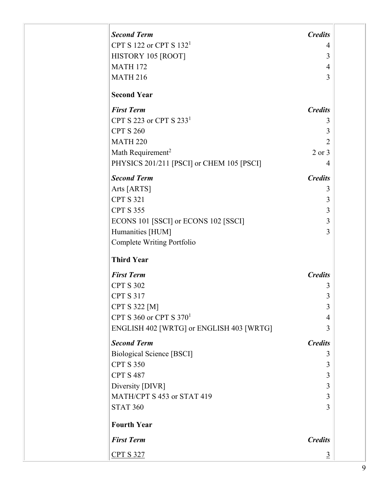| <b>Second Term</b>                        | <b>Credits</b> |  |
|-------------------------------------------|----------------|--|
| CPT S 122 or CPT S $1321$                 | 4              |  |
| HISTORY 105 [ROOT]                        | 3              |  |
| <b>MATH 172</b>                           | 4              |  |
| <b>MATH 216</b>                           | 3              |  |
|                                           |                |  |
| <b>Second Year</b>                        |                |  |
| <b>First Term</b>                         | <b>Credits</b> |  |
| CPT S 223 or CPT S $2331$                 | 3              |  |
| <b>CPT S 260</b>                          | 3              |  |
| <b>MATH 220</b>                           | $\overline{2}$ |  |
| Math Requirement <sup>2</sup>             | 2 or 3         |  |
| PHYSICS 201/211 [PSCI] or CHEM 105 [PSCI] | 4              |  |
| <b>Second Term</b>                        | <b>Credits</b> |  |
| Arts [ARTS]                               | 3              |  |
| <b>CPT S 321</b>                          | 3              |  |
| <b>CPT S 355</b>                          | 3              |  |
| ECONS 101 [SSCI] or ECONS 102 [SSCI]      | 3              |  |
| Humanities [HUM]                          | 3              |  |
| Complete Writing Portfolio                |                |  |
|                                           |                |  |
| <b>Third Year</b>                         |                |  |
| <b>First Term</b>                         | <b>Credits</b> |  |
| <b>CPT S 302</b>                          | 3              |  |
| <b>CPT S 317</b>                          | 3              |  |
| <b>CPT S 322 [M]</b>                      | 3              |  |
| CPT S 360 or CPT S $370^1$                | $\overline{4}$ |  |
| ENGLISH 402 [WRTG] or ENGLISH 403 [WRTG]  | 3              |  |
| <b>Second Term</b>                        | <b>Credits</b> |  |
| <b>Biological Science [BSCI]</b>          | 3              |  |
| <b>CPT S 350</b>                          | 3              |  |
| <b>CPT S 487</b>                          | 3              |  |
| Diversity [DIVR]                          | 3              |  |
| MATH/CPT S 453 or STAT 419                | 3              |  |
| <b>STAT 360</b>                           | 3              |  |
| <b>Fourth Year</b>                        |                |  |
| <b>First Term</b>                         | <b>Credits</b> |  |
|                                           |                |  |
| <b>CPT S 327</b>                          | $\overline{3}$ |  |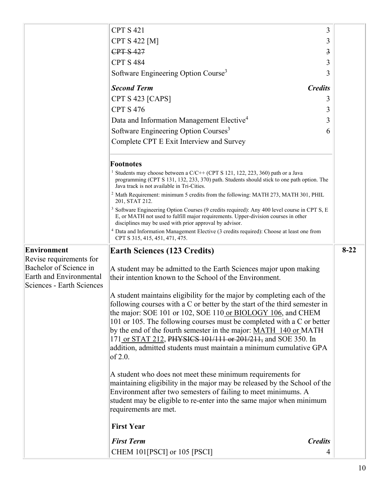|                                                          | <b>CPT S 421</b>                                                                                                                                                                                                                                         | 3              |          |
|----------------------------------------------------------|----------------------------------------------------------------------------------------------------------------------------------------------------------------------------------------------------------------------------------------------------------|----------------|----------|
|                                                          | <b>CPT S 422 [M]</b>                                                                                                                                                                                                                                     | 3              |          |
|                                                          | <b>CPT S 427</b>                                                                                                                                                                                                                                         | 3              |          |
|                                                          | <b>CPT S 484</b>                                                                                                                                                                                                                                         | 3              |          |
|                                                          | Software Engineering Option Course <sup>3</sup>                                                                                                                                                                                                          | 3              |          |
|                                                          | <b>Second Term</b>                                                                                                                                                                                                                                       | <b>Credits</b> |          |
|                                                          | CPT S 423 [CAPS]                                                                                                                                                                                                                                         | 3              |          |
|                                                          | <b>CPT S 476</b>                                                                                                                                                                                                                                         | 3              |          |
|                                                          | Data and Information Management Elective <sup>4</sup>                                                                                                                                                                                                    | 3              |          |
|                                                          | Software Engineering Option Courses <sup>3</sup>                                                                                                                                                                                                         | 6              |          |
|                                                          | Complete CPT E Exit Interview and Survey                                                                                                                                                                                                                 |                |          |
|                                                          | <b>Footnotes</b>                                                                                                                                                                                                                                         |                |          |
|                                                          | <sup>1</sup> Students may choose between a C/C++ (CPT S 121, 122, 223, 360) path or a Java<br>programming (CPT S 131, 132, 233, 370) path. Students should stick to one path option. The<br>Java track is not available in Tri-Cities.                   |                |          |
|                                                          | <sup>2</sup> Math Requirement: minimum 5 credits from the following: MATH 273, MATH 301, PHIL<br>201, STAT 212.                                                                                                                                          |                |          |
|                                                          | <sup>3</sup> Software Engineering Option Courses (9 credits required): Any 400 level course in CPT S, E<br>E, or MATH not used to fulfill major requirements. Upper-division courses in other<br>disciplines may be used with prior approval by advisor. |                |          |
|                                                          | <sup>4</sup> Data and Information Management Elective (3 credits required): Choose at least one from<br>CPT S 315, 415, 451, 471, 475.                                                                                                                   |                |          |
| <b>Environment</b>                                       | <b>Earth Sciences (123 Credits)</b>                                                                                                                                                                                                                      |                |          |
|                                                          |                                                                                                                                                                                                                                                          |                | $8 - 22$ |
| Revise requirements for                                  |                                                                                                                                                                                                                                                          |                |          |
| Bachelor of Science in<br><b>Earth and Environmental</b> | A student may be admitted to the Earth Sciences major upon making                                                                                                                                                                                        |                |          |
| Sciences - Earth Sciences                                | their intention known to the School of the Environment.                                                                                                                                                                                                  |                |          |
|                                                          | A student maintains eligibility for the major by completing each of the                                                                                                                                                                                  |                |          |
|                                                          | following courses with a C or better by the start of the third semester in                                                                                                                                                                               |                |          |
|                                                          | the major: SOE 101 or 102, SOE 110 or BIOLOGY 106, and CHEM                                                                                                                                                                                              |                |          |
|                                                          | 101 or 105. The following courses must be completed with a C or better                                                                                                                                                                                   |                |          |
|                                                          | by the end of the fourth semester in the major: MATH 140 or MATH                                                                                                                                                                                         |                |          |
|                                                          | 171 or STAT 212, PHYSICS 101/111 or 201/211, and SOE 350. In<br>addition, admitted students must maintain a minimum cumulative GPA<br>of 2.0.                                                                                                            |                |          |
|                                                          | A student who does not meet these minimum requirements for<br>maintaining eligibility in the major may be released by the School of the                                                                                                                  |                |          |
|                                                          | Environment after two semesters of failing to meet minimums. A<br>student may be eligible to re-enter into the same major when minimum<br>requirements are met.                                                                                          |                |          |
|                                                          | <b>First Year</b>                                                                                                                                                                                                                                        |                |          |
|                                                          | <b>First Term</b>                                                                                                                                                                                                                                        | <b>Credits</b> |          |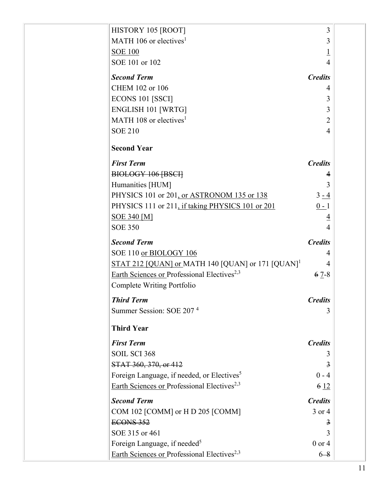| HISTORY 105 [ROOT]                                            | 3              |  |
|---------------------------------------------------------------|----------------|--|
| MATH 106 or electives <sup>1</sup>                            | 3              |  |
| <b>SOE 100</b>                                                | <u>l</u>       |  |
| SOE 101 or 102                                                | 4              |  |
| <b>Second Term</b>                                            | <b>Credits</b> |  |
| CHEM 102 or 106                                               | 4              |  |
| ECONS 101 [SSCI]                                              | 3              |  |
| ENGLISH 101 [WRTG]                                            | 3              |  |
| MATH 108 or electives <sup>1</sup>                            | 2              |  |
| <b>SOE 210</b>                                                | $\overline{4}$ |  |
| <b>Second Year</b>                                            |                |  |
| <b>First Term</b>                                             | <b>Credits</b> |  |
| BIOLOGY 106 [BSCI]                                            | 4              |  |
| Humanities [HUM]                                              | 3              |  |
| PHYSICS 101 or 201, or ASTRONOM 135 or 138                    | $3 - 4$        |  |
| PHYSICS 111 or 211, if taking PHYSICS 101 or 201              | $0 - 1$        |  |
| <b>SOE 340 [M]</b>                                            | $\overline{4}$ |  |
| <b>SOE 350</b>                                                | 4              |  |
| <b>Second Term</b>                                            | <b>Credits</b> |  |
| SOE 110 or BIOLOGY 106                                        | 4              |  |
| STAT 212 [QUAN] or MATH 140 [QUAN] or 171 [QUAN] <sup>1</sup> | 4              |  |
| Earth Sciences or Professional Electives <sup>2,3</sup>       | $6 \, 7 - 8$   |  |
| Complete Writing Portfolio                                    |                |  |
| <b>Third Term</b>                                             | <b>Credits</b> |  |
| Summer Session: SOE 207 <sup>4</sup>                          | 3              |  |
| <b>Third Year</b>                                             |                |  |
| <b>First Term</b>                                             | <b>Credits</b> |  |
| SOIL SCI 368                                                  | 3              |  |
| STAT 360, 370, or 412                                         | 3              |  |
| Foreign Language, if needed, or Electives <sup>5</sup>        | $0 - 4$        |  |
| Earth Sciences or Professional Electives <sup>2,3</sup>       | 612            |  |
| <b>Second Term</b>                                            | <b>Credits</b> |  |
| COM 102 [COMM] or H D 205 [COMM]                              | 3 or 4         |  |
| ECONS 352                                                     | $\overline{3}$ |  |
| SOE 315 or 461                                                | 3              |  |
| Foreign Language, if needed <sup>5</sup>                      | $0$ or $4$     |  |
| Earth Sciences or Professional Electives <sup>2,3</sup>       | $6 - 8$        |  |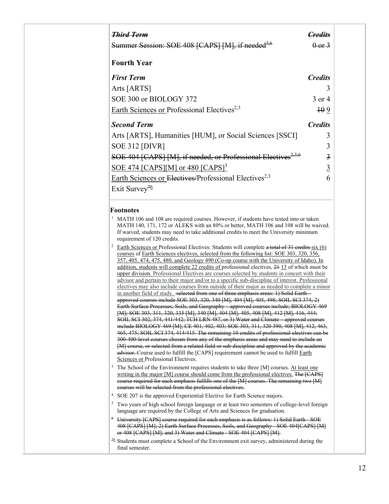| <del>Third Term</del>                                                     |                |
|---------------------------------------------------------------------------|----------------|
| Summer Session: SOE 408 [CAPS] [M], if needed <sup>3,6</sup>              | 0.013          |
| <b>Fourth Year</b>                                                        |                |
| <b>First Term</b>                                                         | <b>Credits</b> |
| Arts [ARTS]                                                               | 3              |
| SOE 300 or BIOLOGY 372                                                    | 3 or 4         |
| Earth Sciences or Professional Electives <sup>2,3</sup>                   | $+0.9$         |
| <b>Second Term</b>                                                        | <b>Credits</b> |
| Arts [ARTS], Humanities [HUM], or Social Sciences [SSCI]                  | 3              |
| <b>SOE 312 [DIVR]</b>                                                     | 3              |
| SOE 404 [CAPS] [M], if needed, or Professional Electives <sup>2,3,6</sup> | $\overline{3}$ |
| $SOE$ 474 [CAPS][M] or 480 [CAPS] <sup>3</sup>                            | $\overline{3}$ |
| Earth Sciences or Electives/Professional Electives <sup>2,3</sup>         | 6              |
| Exit Survey <sup>76</sup>                                                 |                |

## **Footnotes**

- $1$  MATH 106 and 108 are required courses. However, if students have tested into or taken MATH 140, 171, 172 or ALEKS with an 80% or better, MATH 106 and 108 will be waived. If waived, students may need to take additional credits to meet the University minimum requirement of 120 credits.
- Earth Sciences or Professional Electives: Students will complete a total of 31 credits six (6) courses of Earth Sciences electives, selected from the following list: SOE 303, 320, 356, 357, 405, 474, 475, 480, and Geology 490 (Co-op course with the University of Idaho). In addition, students will complete 22 credits of professional electives, 21 13 of which must be upper division. Professional Electives are courses selected by students in concert with their advisor and pertain to their major and/or to a specific sub-discipline of interest. Professional electives may also include courses from outside of their major as needed to complete a minor in another field of study. selected from one of three emphasis areas: 1) Solid Earth approved courses include SOE 303, 320, 340 [M], 404 [M], 405, 498; SOIL SCI 374; 2) Earth Surface Processes, Soils, and Geography – approved courses include; BIOLOGY 469 [M]; SOE 303, 311, 320, 335 [M], 340 [M], 404 [M], 405, 408 [M], 412 [M], 416, 444; SOIL SCI 302, 374, 441/442; TCH LRN 487, or 3) Water and Climate – approved courses include BIOLOGY 469 [M]; CE 401, 402, 403; SOE 303, 311, 320 390, 408 [M], 412, 463, 465, 475; SOIL SCI 374, 414/415. The remaining 10 credits of professional electives can be 300-400-level courses chosen from any of the emphasis areas and may need to include an [M] course, or selected from a related field or sub-discipline and approved by the academic advisor. Course used to fulfill the [CAPS] requirement cannot be used to fulfill Earth Sciences or Professional Electives.
- The School of the Environment requires students to take three [M] courses. At least one writing in the major [M] course should come from the professional electives. The [CAPS] course required for each emphasis fulfills one of the [M] courses. The remaining two [M] courses will be selected from the professional electives.
- <sup>4</sup> SOE 207 is the approved Experiential Elective for Earth Science majors.
- <sup>5</sup> Two years of high school foreign language or at least two semesters of college-level foreign language are required by the College of Arts and Sciences for graduation.
- <sup>6</sup> University [CAPS] course required for each emphasis is as follows: 1) Solid Earth SOE 408 [CAPS] [M]; 2) Earth Surface Processes, Soils, and Geography - SOE 404[CAPS] [M] or 408 [CAPS] [M]; and 3) Water and Climate - SOE 404 [CAPS] [M].
- $76$  Students must complete a School of the Environment exit survey, administered during the final semester.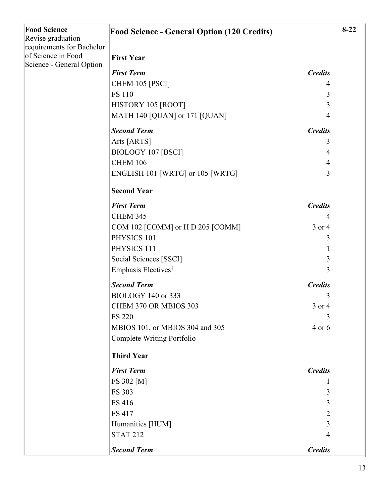| <b>Food Science</b><br>Revise graduation<br>requirements for Bachelor<br>of Science in Food<br>Science - General Option | <b>Food Science - General Option (120 Credits)</b> |                | $8-22$ |
|-------------------------------------------------------------------------------------------------------------------------|----------------------------------------------------|----------------|--------|
|                                                                                                                         | <b>First Year</b>                                  |                |        |
|                                                                                                                         | <b>First Term</b>                                  | <b>Credits</b> |        |
|                                                                                                                         | CHEM 105 [PSCI]                                    | 4              |        |
|                                                                                                                         | <b>FS 110</b>                                      | 3              |        |
|                                                                                                                         | HISTORY 105 [ROOT]                                 | 3              |        |
|                                                                                                                         | MATH 140 [QUAN] or 171 [QUAN]                      | 4              |        |
|                                                                                                                         | <b>Second Term</b>                                 | <b>Credits</b> |        |
|                                                                                                                         | Arts [ARTS]                                        | 3              |        |
|                                                                                                                         | <b>BIOLOGY 107 [BSCI]</b>                          | 4              |        |
|                                                                                                                         | <b>CHEM 106</b>                                    | $\overline{4}$ |        |
|                                                                                                                         | ENGLISH 101 [WRTG] or 105 [WRTG]                   | 3              |        |
|                                                                                                                         | <b>Second Year</b>                                 |                |        |
|                                                                                                                         | <b>First Term</b>                                  | <b>Credits</b> |        |
|                                                                                                                         | <b>CHEM 345</b>                                    | $\overline{4}$ |        |
|                                                                                                                         | COM 102 [COMM] or H D 205 [COMM]                   | 3 or 4         |        |
|                                                                                                                         | PHYSICS 101                                        | 3              |        |
|                                                                                                                         | PHYSICS 111                                        | 1              |        |
|                                                                                                                         | Social Sciences [SSCI]                             | 3              |        |
|                                                                                                                         | Emphasis Electives <sup>1</sup>                    | 3              |        |
|                                                                                                                         | <b>Second Term</b>                                 | <b>Credits</b> |        |
|                                                                                                                         | BIOLOGY 140 or 333                                 | 3              |        |
|                                                                                                                         | CHEM 370 OR MBIOS 303                              | 3 or 4         |        |
|                                                                                                                         | <b>FS 220</b>                                      | 3              |        |
|                                                                                                                         | MBIOS 101, or MBIOS 304 and 305                    | 4 or 6         |        |
|                                                                                                                         | Complete Writing Portfolio                         |                |        |
|                                                                                                                         | <b>Third Year</b>                                  |                |        |
|                                                                                                                         | <b>First Term</b>                                  | <b>Credits</b> |        |
|                                                                                                                         | FS 302 [M]                                         | $\mathbf{I}$   |        |
|                                                                                                                         | <b>FS 303</b>                                      | 3              |        |
|                                                                                                                         | <b>FS 416</b>                                      | 3              |        |
|                                                                                                                         | <b>FS 417</b>                                      | $\overline{2}$ |        |
|                                                                                                                         | Humanities [HUM]                                   | 3              |        |
|                                                                                                                         | <b>STAT 212</b>                                    | $\overline{4}$ |        |
|                                                                                                                         | <b>Second Term</b>                                 | <b>Credits</b> |        |